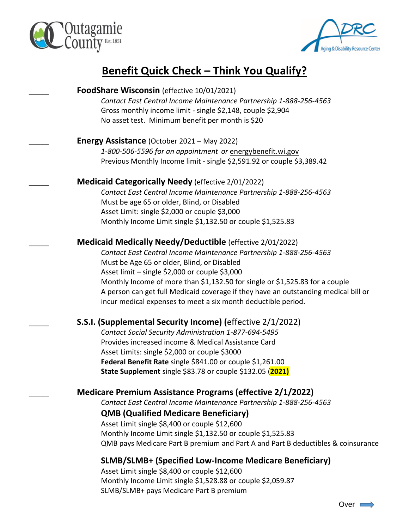



# **Benefit Quick Check – Think You Qualify?**

| <b>FoodShare Wisconsin</b> (effective 10/01/2021)                                                                                                    |
|------------------------------------------------------------------------------------------------------------------------------------------------------|
| Contact East Central Income Maintenance Partnership 1-888-256-4563                                                                                   |
| Gross monthly income limit - single \$2,148, couple \$2,904                                                                                          |
| No asset test. Minimum benefit per month is \$20                                                                                                     |
| <b>Energy Assistance</b> (October 2021 – May 2022)                                                                                                   |
| 1-800-506-5596 for an appointment or energybenefit.wi.gov                                                                                            |
| Previous Monthly Income limit - single \$2,591.92 or couple \$3,389.42                                                                               |
| <b>Medicaid Categorically Needy (effective 2/01/2022)</b>                                                                                            |
| Contact East Central Income Maintenance Partnership 1-888-256-4563                                                                                   |
| Must be age 65 or older, Blind, or Disabled                                                                                                          |
| Asset Limit: single \$2,000 or couple \$3,000                                                                                                        |
| Monthly Income Limit single \$1,132.50 or couple \$1,525.83                                                                                          |
| <b>Medicaid Medically Needy/Deductible</b> (effective 2/01/2022)                                                                                     |
| Contact East Central Income Maintenance Partnership 1-888-256-4563                                                                                   |
| Must be Age 65 or older, Blind, or Disabled                                                                                                          |
| Asset limit - single \$2,000 or couple \$3,000                                                                                                       |
| Monthly Income of more than \$1,132.50 for single or \$1,525.83 for a couple                                                                         |
| A person can get full Medicaid coverage if they have an outstanding medical bill or<br>incur medical expenses to meet a six month deductible period. |
| <b>S.S.I. (Supplemental Security Income) (effective 2/1/2022)</b>                                                                                    |
| Contact Social Security Administration 1-877-694-5495                                                                                                |
| Provides increased income & Medical Assistance Card                                                                                                  |
| Asset Limits: single \$2,000 or couple \$3000                                                                                                        |
| Federal Benefit Rate single \$841.00 or couple \$1,261.00                                                                                            |
| State Supplement single \$83.78 or couple \$132.05 (2021)                                                                                            |
| <b>Medicare Premium Assistance Programs (effective 2/1/2022)</b>                                                                                     |
| Contact East Central Income Maintenance Partnership 1-888-256-4563                                                                                   |
| <b>QMB (Qualified Medicare Beneficiary)</b>                                                                                                          |
| Asset Limit single \$8,400 or couple \$12,600                                                                                                        |
| Monthly Income Limit single \$1,132.50 or couple \$1,525.83                                                                                          |
| QMB pays Medicare Part B premium and Part A and Part B deductibles & coinsurance                                                                     |
|                                                                                                                                                      |

## **SLMB/SLMB+ (Specified Low-Income Medicare Beneficiary)**

Asset Limit single \$8,400 or couple \$12,600 Monthly Income Limit single \$1,528.88 or couple \$2,059.87 SLMB/SLMB+ pays Medicare Part B premium